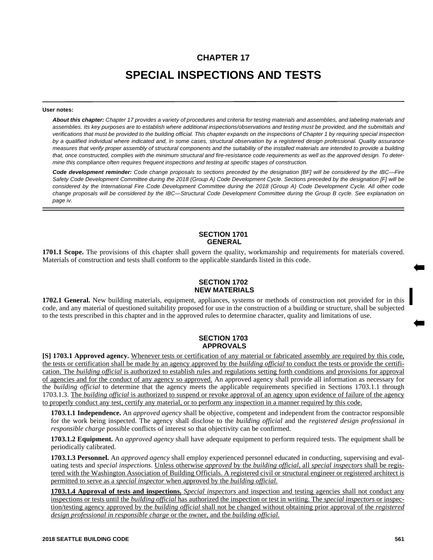# **CHAPTER 17 SPECIAL INSPECTIONS AND TESTS**

#### **User notes:**

*About this chapter: Chapter 17 provides a variety of procedures and criteria for testing materials and assemblies, and labeling materials and assemblies. Its key purposes are to establish where additional inspections/observations and testing must be provided, and the submittals and verifications that must be provided to the building official. This chapter expands on the inspections of Chapter 1 by requiring special inspection by a qualified individual where indicated and, in some cases, structural observation by a registered design professional. Quality assurance measures that verify proper assembly of structural components and the suitability of the installed materials are intended to provide a building that, once constructed, complies with the minimum structural and fire-resistance code requirements as well as the approved design. To determine this compliance often requires frequent inspections and testing at specific stages of construction.*

*Code development reminder: Code change proposals to sections preceded by the designation [BF] will be considered by the IBC—Fire Safety Code Development Committee during the 2018 (Group A) Code Development Cycle. Sections preceded by the designation [F] will be considered by the International Fire Code Development Committee during the 2018 (Group A) Code Development Cycle. All other code change proposals will be considered by the IBC—Structural Code Development Committee during the Group B cycle. See explanation on page iv.*

## **SECTION 1701 GENERAL**

**1701.1 Scope.** The provisions of this chapter shall govern the quality, workmanship and requirements for materials covered. Materials of construction and tests shall conform to the applicable standards listed in this code.

## **SECTION 1702 NEW MATERIALS**

**1702.1 General.** New building materials, equipment, appliances, systems or methods of construction not provided for in this code, and any material of questioned suitability proposed for use in the construction of a building or structure, shall be subjected to the tests prescribed in this chapter and in the approved rules to determine character, quality and limitations of use.

## **SECTION 1703 APPROVALS**

**[S] 1703.1 Approved agency.** Whenever tests or certification of any material or fabricated assembly are required by this code, the tests or certification shall be made by an agency approved by the *building official* to conduct the tests or provide the certification. The *building official* is authorized to establish rules and regulations setting forth conditions and provisions for approval of agencies and for the conduct of any agency so approved. An approved agency shall provide all information as necessary for the *building official* to determine that the agency meets the applicable requirements specified in Sections 1703.1.1 through 1703.1.3. The *building official* is authorized to suspend or revoke approval of an agency upon evidence of failure of the agency to properly conduct any test, certify any material, or to perform any inspection in a manner required by this code.

**1703.1.1 Independence.** An *approved agency* shall be objective, competent and independent from the contractor responsible for the work being inspected. The agency shall disclose to the *building official* and the *registered design professional in responsible charge* possible conflicts of interest so that objectivity can be confirmed.

**1703.1.2 Equipment.** An *approved agency* shall have adequate equipment to perform required tests. The equipment shall be periodically calibrated.

**1703.1.3 Personnel.** An *approved agency* shall employ experienced personnel educated in conducting, supervising and evaluating tests and *special inspections*. Unless otherwise *approved* by the *building official,* all *special inspectors* shall be registered with the Washington Association of Building Officials. A registered civil or structural engineer or registered architect is permitted to serve as a *special inspector* when approved by the *building official.*

**1703.1.4 Approval of tests and inspections.** *Special inspectors* and inspection and testing agencies shall not conduct any inspections or tests until the *building official* has authorized the inspection or test in writing. The *special inspectors* or inspection/testing agency approved by the *building official* shall not be changed without obtaining prior approval of the *registered design professional in responsible charge* or the owner, and the *building official.*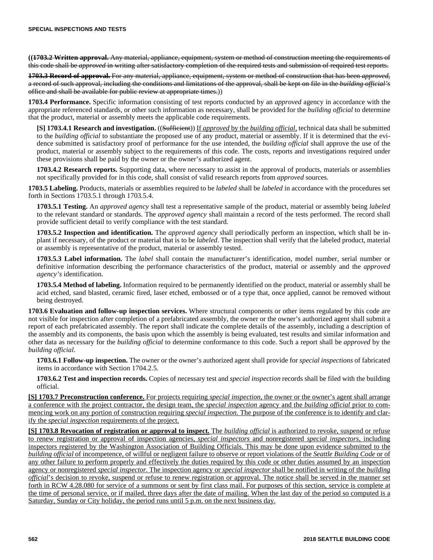**((1703.2 Written approval.** Any material, appliance, equipment, system or method of construction meeting the requirements of this code shall be *approved* in writing after satisfactory completion of the required tests and submission of required test reports.

**1703.3 Record of approval.** For any material, appliance, equipment, system or method of construction that has been *approved*, a record of such approval, including the conditions and limitations of the approval, shall be kept on file in the *building official's* office and shall be available for public review at appropriate times.))

**1703.4 Performance.** Specific information consisting of test reports conducted by an *approved* agency in accordance with the appropriate referenced standards, or other such information as necessary, shall be provided for the *building official* to determine that the product, material or assembly meets the applicable code requirements.

**[S] 1703.4.1 Research and investigation.** ((Sufficient)) If *approved* by the *building official,* technical data shall be submitted to the *building official* to substantiate the proposed use of any product, material or assembly. If it is determined that the evidence submitted is satisfactory proof of performance for the use intended, the *building official* shall approve the use of the product, material or assembly subject to the requirements of this code. The costs, reports and investigations required under these provisions shall be paid by the owner or the owner's authorized agent.

**1703.4.2 Research reports.** Supporting data, where necessary to assist in the approval of products, materials or assemblies not specifically provided for in this code, shall consist of valid research reports from *approved* sources.

**1703.5 Labeling.** Products, materials or assemblies required to be *labeled* shall be *labeled* in accordance with the procedures set forth in Sections 1703.5.1 through 1703.5.4.

**1703.5.1 Testing.** An *approved agency* shall test a representative sample of the product, material or assembly being *labeled* to the relevant standard or standards. The *approved agency* shall maintain a record of the tests performed. The record shall provide sufficient detail to verify compliance with the test standard.

**1703.5.2 Inspection and identification.** The *approved agency* shall periodically perform an inspection, which shall be inplant if necessary, of the product or material that is to be *labeled*. The inspection shall verify that the labeled product, material or assembly is representative of the product, material or assembly tested.

**1703.5.3 Label information.** The *label* shall contain the manufacturer's identification, model number, serial number or definitive information describing the performance characteristics of the product, material or assembly and the *approved agency's* identification.

**1703.5.4 Method of labeling.** Information required to be permanently identified on the product, material or assembly shall be acid etched, sand blasted, ceramic fired, laser etched, embossed or of a type that, once applied, cannot be removed without being destroyed.

**1703.6 Evaluation and follow-up inspection services.** Where structural components or other items regulated by this code are not visible for inspection after completion of a prefabricated assembly, the owner or the owner's authorized agent shall submit a report of each prefabricated assembly. The report shall indicate the complete details of the assembly, including a description of the assembly and its components, the basis upon which the assembly is being evaluated, test results and similar information and other data as necessary for the *building official* to determine conformance to this code. Such a report shall be *approved* by the *building official*.

**1703.6.1 Follow-up inspection.** The owner or the owner's authorized agent shall provide for *special inspections* of fabricated items in accordance with Section 1704.2.5.

**1703.6.2 Test and inspection records.** Copies of necessary test and *special inspection* records shall be filed with the building official.

**[S] 1703.7 Preconstruction conference.** For projects requiring *special inspection*, the owner or the owner's agent shall arrange a conference with the project contractor, the design team, the *special inspection* agency and the *building official* prior to commencing work on any portion of construction requiring *special inspection*. The purpose of the conference is to identify and clarify the *special inspection* requirements of the project.

**[S] 1703.8 Revocation of registration or approval to inspect.** The *building official* is authorized to revoke, suspend or refuse to renew registration or approval of inspection agencies, *special inspectors* and nonregistered *special inspectors*, including inspectors registered by the Washington Association of Building Officials. This may be done upon evidence submitted to the *building official* of incompetence, of willful or negligent failure to observe or report violations of the *Seattle Building Code* or of any other failure to perform properly and effectively the duties required by this code or other duties assumed by an inspection agency or nonregistered *special inspector*. The inspection agency or *special inspector* shall be notified in writing of the *building official*'s decision to revoke, suspend or refuse to renew registration or approval. The notice shall be served in the manner set forth in RCW 4.28.080 for service of a summons or sent by first class mail. For purposes of this section, service is complete at the time of personal service, or if mailed, three days after the date of mailing. When the last day of the period so computed is a Saturday, Sunday or City holiday, the period runs until 5 p.m. on the next business day.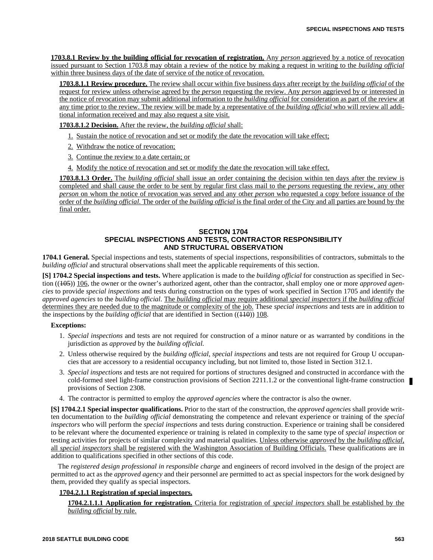**1703.8.1 Review by the building official for revocation of registration.** Any *person* aggrieved by a notice of revocation issued pursuant to Section 1703.8 may obtain a review of the notice by making a request in writing to the *building official* within three business days of the date of service of the notice of revocation.

**1703.8.1.1 Review procedure.** The review shall occur within five business days after receipt by the *building official* of the request for review unless otherwise agreed by the *person* requesting the review. Any *person* aggrieved by or interested in the notice of revocation may submit additional information to the *building official* for consideration as part of the review at any time prior to the review. The review will be made by a representative of the *building official* who will review all additional information received and may also request a site visit.

**1703.8.1.2 Decision.** After the review, the *building official* shall:

- 1. Sustain the notice of revocation and set or modify the date the revocation will take effect;
- 2. Withdraw the notice of revocation;
- 3. Continue the review to a date certain; or
- 4. Modify the notice of revocation and set or modify the date the revocation will take effect.

**1703.8.1.3 Order.** The *building official* shall issue an order containing the decision within ten days after the review is completed and shall cause the order to be sent by regular first class mail to the *persons* requesting the review, any other *person* on whom the notice of revocation was served and any other *person* who requested a copy before issuance of the order of the *building official*. The order of the *building official* is the final order of the City and all parties are bound by the final order.

## **SECTION 1704 SPECIAL INSPECTIONS AND TESTS, CONTRACTOR RESPONSIBILITY AND STRUCTURAL OBSERVATION**

**1704.1 General.** Special inspections and tests, statements of special inspections, responsibilities of contractors, submittals to the *building official* and structural observations shall meet the applicable requirements of this section.

**[S] 1704.2 Special inspections and tests.** Where application is made to the *building official* for construction as specified in Section ((405)) 106, the owner or the owner's authorized agent, other than the contractor, shall employ one or more *approved agencies* to provide *special inspections* and tests during construction on the types of work specified in Section 1705 and identify the *approved agencies* to the *building official*. The *building official* may require additional *special inspectors* if the *building official* determines they are needed due to the magnitude or complexity of the job. These *special inspections* and tests are in addition to the inspections by the *building official* that are identified in Section ((440)) 108.

#### **Exceptions:**

- 1. *Special inspections* and tests are not required for construction of a minor nature or as warranted by conditions in the jurisdiction as *approved* by the *building official.*
- 2. Unless otherwise required by the *building official*, *special inspections* and tests are not required for Group U occupancies that are accessory to a residential occupancy including, but not limited to, those listed in Section 312.1.
- 3. *Special inspections* and tests are not required for portions of structures designed and constructed in accordance with the cold-formed steel light-frame construction provisions of Section 2211.1.2 or the conventional light-frame construction provisions of Section 2308.
- 4. The contractor is permitted to employ the *approved agencies* where the contractor is also the owner.

**[S] 1704.2.1 Special inspector qualifications.** Prior to the start of the construction, the *approved agencies* shall provide written documentation to the *building official* demonstrating the competence and relevant experience or training of the *special inspectors* who will perform the *special inspections* and tests during construction. Experience or training shall be considered to be relevant where the documented experience or training is related in complexity to the same type of *special inspection* or testing activities for projects of similar complexity and material qualities. Unless otherwise *approved* by the *building official*, all *special inspectors* shall be registered with the Washington Association of Building Officials. These qualifications are in addition to qualifications specified in other sections of this code.

The *registered design professional in responsible charge* and engineers of record involved in the design of the project are permitted to act as the *approved agency* and their personnel are permitted to act as special inspectors for the work designed by them, provided they qualify as special inspectors.

## **1704.2.1.1 Registration of special inspectors.**

**1704.2.1.1.1 Application for registration.** Criteria for registration of *special inspectors* shall be established by the *building official* by rule.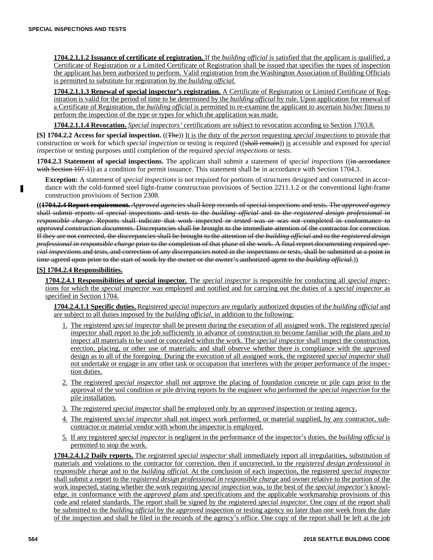**1704.2.1.1.2 Issuance of certificate of registration.** If the *building official* is satisfied that the applicant is qualified, a Certificate of Registration or a Limited Certificate of Registration shall be issued that specifies the types of inspection the applicant has been authorized to perform. Valid registration from the Washington Association of Building Officials is permitted to substitute for registration by the *building official.*

**1704.2.1.1.3 Renewal of special inspector's registration.** A Certificate of Registration or Limited Certificate of Registration is valid for the period of time to be determined by the *building official* by rule. Upon application for renewal of a Certificate of Registration, the *building official* is permitted to re-examine the applicant to ascertain his/her fitness to perform the inspection of the type or types for which the application was made.

**1704.2.1.1.4 Revocation.** *Special inspectors'* certifications are subject to revocation according to Section 1703.8.

**[S] 1704.2.2 Access for special inspection.** ((The)) It is the duty of the *person* requesting *special inspections* to provide that construction or work for which *special inspection* or testing is required ((shall remain)) is accessible and exposed for *special inspection* or testing purposes until completion of the required *special inspections* or tests.

**1704.2.3 Statement of special inspections.** The applicant shall submit a statement of *special inspections* ((in accordance with Section 107.1) as a condition for permit issuance. This statement shall be in accordance with Section 1704.3.

**Exception:** A statement of *special inspections* is not required for portions of structures designed and constructed in accordance with the cold-formed steel light-frame construction provisions of Section 2211.1.2 or the conventional light-frame construction provisions of Section 2308.

**((1704.2.4 Report requirement.** *Approved agencies* shall keep records of special inspections and tests. The *approved agency* shall submit reports of *special* inspections and tests to the *building official* and to the *registered design professional in responsible charge*. Reports shall indicate that work inspected or tested was or was not completed in conformance to *approved construction documents.* Discrepancies shall be brought to the immediate attention of the contractor for correction. If they are not corrected, the discrepancies shall be brought to the attention of the *building official* and to the *registered design professional in responsible charge* prior to the completion of that phase of the work. A final report documenting required *special inspections* and tests, and correction of any discrepancies noted in the inspections or tests, shall be submitted at a point in time agreed upon prior to the start of work by the owner or the owner's authorized agent to the *building official.*))

## **[S] 1704.2.4 Responsibilities.**

п

**1704.2.4.1 Responsibilities of special inspector***.* The *special inspector* is responsible for conducting all *special inspection*s for which the *special inspector* was employed and notified and for carrying out the duties of a *special inspector* as specified in Section 1704.

**1704.2.4.1.1 Specific duties.** Registered *special inspectors* are regularly authorized deputies of the *building official* and are subject to all duties imposed by the *building official,* in addition to the following:

- 1. The registered *special inspector* shall be present during the execution of all assigned work. The registered *special inspector* shall report to the job sufficiently in advance of construction to become familiar with the plans and to inspect all materials to be used or concealed within the work. The *special inspector* shall inspect the construction, erection, placing, or other use of materials; and shall observe whether there is compliance with the *approved* design as to all of the foregoing. During the execution of all assigned work, the registered *special inspector* shall not undertake or engage in any other task or occupation that interferes with the proper performance of the inspection duties.
- 2. The registered *special inspector* shall not approve the placing of foundation concrete or pile caps prior to the approval of the soil condition or pile driving reports by the engineer who performed the *special inspection* for the pile installation.
- 3. The registered *special inspector* shall be employed only by an *approved* inspection or testing agency.
- 4. The registered *special inspector* shall not inspect work performed, or material supplied, by any contractor, subcontractor or material vendor with whom the inspector is employed.
- 5. If any registered *special inspector* is negligent in the performance of the inspector's duties, the *building official* is permitted to stop the work.

**1704.2.4.1.2 Daily reports.** The registered *special inspector* shall immediately report all irregularities, substitution of materials and violations to the contractor for correction, then if uncorrected, to the *registered design professional in responsible charge* and to the *building official.* At the conclusion of each inspection, the registered *special inspector* shall submit a report to the *registered design professional in responsible charge* and owner relative to the portion of the work inspected, stating whether the work requiring *special inspection* was, to the best of the *special inspector's* knowledge, in conformance with the *approved* plans and specifications and the applicable workmanship provisions of this code and related standards. The report shall be signed by the registered *special inspector.* One copy of the report shall be submitted to the *building official* by the *approved* inspection or testing agency no later than one week from the date of the inspection and shall be filed in the records of the agency's office. One copy of the report shall be left at the job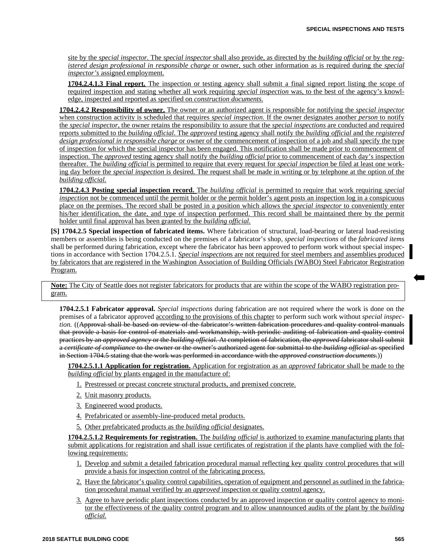site by the *special inspector.* The *special inspector* shall also provide, as directed by the *building official* or by the *registered design professional in responsible charge* or owner, such other information as is required during the *special inspector's* assigned employment.

**1704.2.4.1.3 Final report.** The inspection or testing agency shall submit a final signed report listing the scope of required inspection and stating whether all work requiring *special inspection* was, to the best of the agency's knowledge, inspected and reported as specified on *construction documents.*

**1704.2.4.2 Responsibility of owner.** The owner or an authorized agent is responsible for notifying the *special inspector* when construction activity is scheduled that requires *special inspection*. If the owner designates another *person* to notify the *special inspector*, the owner retains the responsibility to assure that the *special inspections* are conducted and required reports submitted to the *building official*. The *approved* testing agency shall notify the *building official* and the *registered design professional in responsible charge* or owner of the commencement of inspection of a job and shall specify the type of inspection for which the special inspector has been engaged. This notification shall be made prior to commencement of inspection. The *approved* testing agency shall notify the *building official* prior to commencement of each day's inspection thereafter. The *building official* is permitted to require that every request for *special inspection* be filed at least one working day before the *special inspection* is desired. The request shall be made in writing or by telephone at the option of the *building official.*

**1704.2.4.3 Posting special inspection record.** The *building official* is permitted to require that work requiring *special inspection* not be commenced until the permit holder or the permit holder's agent posts an inspection log in a conspicuous place on the premises. The record shall be posted in a position which allows the *special inspector* to conveniently enter his/her identification, the date, and type of inspection performed. This record shall be maintained there by the permit holder until final approval has been granted by the *building official.*

**[S] 1704.2.5 Special inspection of fabricated items.** Where fabrication of structural, load-bearing or lateral load-resisting members or assemblies is being conducted on the premises of a fabricator's shop, *special inspections* of the *fabricated items* shall be performed during fabrication, except where the fabricator has been approved to perform work without special inspections in accordance with Section 1704.2.5.1. *Special inspection*s are not required for steel members and assemblies produced by fabricators that are registered in the Washington Association of Building Officials (WABO) Steel Fabricator Registration Program.

**Note:** The City of Seattle does not register fabricators for products that are within the scope of the WABO registration program.

**1704.2.5.1 Fabricator approval.** *Special inspections* during fabrication are not required where the work is done on the premises of a fabricator approved according to the provisions of this chapter to perform such work without *special inspection.* ((Approval shall be based on review of the fabricator's written fabrication procedures and quality control manuals that provide a basis for control of materials and workmanship, with periodic auditing of fabrication and quality control practices by an *approved agency* or the *building official.* At completion of fabrication, the *approved* fabricator shall submit a *certificate of compliance* to the owner or the owner's authorized agent for submittal to the *building official* as specified in Section 1704.5 stating that the work was performed in accordance with the *approved construction documents*.))

**1704.2.5.1.1 Application for registration.** Application for registration as an *approved* fabricator shall be made to the *building official* by plants engaged in the manufacture of:

- 1. Prestressed or precast concrete structural products, and premixed concrete.
- 2. Unit masonry products.
- 3. Engineered wood products.
- 4. Prefabricated or assembly-line-produced metal products.
- 5. Other prefabricated products as the *building official* designates.

**1704.2.5.1.2 Requirements for registration.** The *building official* is authorized to examine manufacturing plants that submit applications for registration and shall issue certificates of registration if the plants have complied with the following requirements:

- 1. Develop and submit a detailed fabrication procedural manual reflecting key quality control procedures that will provide a basis for inspection control of the fabricating process.
- 2. Have the fabricator's quality control capabilities, operation of equipment and personnel as outlined in the fabrication procedural manual verified by an *approved* inspection or quality control agency.
- 3. Agree to have periodic plant inspections conducted by an approved inspection or quality control agency to monitor the effectiveness of the quality control program and to allow unannounced audits of the plant by the *building official.*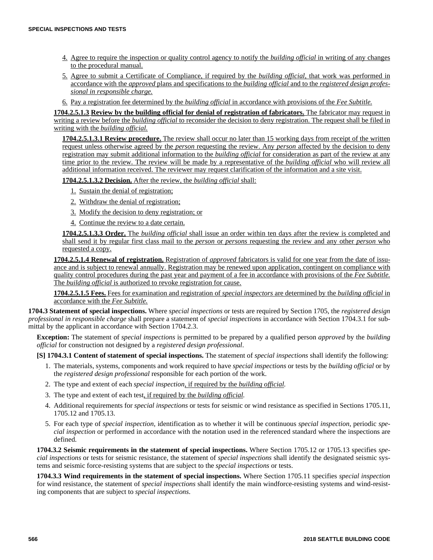- 4. Agree to require the inspection or quality control agency to notify the *building official* in writing of any changes to the procedural manual.
- 5. Agree to submit a Certificate of Compliance, if required by the *building official,* that work was performed in accordance with the *approved* plans and specifications to the *building official* and to the *registered design professional in responsible charge.*
- 6. Pay a registration fee determined by the *building official* in accordance with provisions of the *Fee Subtitle.*

**1704.2.5.1.3 Review by the building official for denial of registration of fabricators.** The fabricator may request in writing a review before the *building official* to reconsider the decision to deny registration. The request shall be filed in writing with the *building official.*

**1704.2.5.1.3.1 Review procedure.** The review shall occur no later than 15 working days from receipt of the written request unless otherwise agreed by the *person* requesting the review. Any *person* affected by the decision to deny registration may submit additional information to the *building official* for consideration as part of the review at any time prior to the review. The review will be made by a representative of the *building official* who will review all additional information received. The reviewer may request clarification of the information and a site visit.

**1704.2.5.1.3.2 Decision.** After the review, the *building official* shall:

- 1. Sustain the denial of registration;
- 2. Withdraw the denial of registration;
- 3. Modify the decision to deny registration; or
- 4. Continue the review to a date certain.

**1704.2.5.1.3.3 Order.** The *building official* shall issue an order within ten days after the review is completed and shall send it by regular first class mail to the *person* or *persons* requesting the review and any other *person* who requested a copy.

**1704.2.5.1.4 Renewal of registration.** Registration of *approved* fabricators is valid for one year from the date of issuance and is subject to renewal annually. Registration may be renewed upon application, contingent on compliance with quality control procedures during the past year and payment of a fee in accordance with provisions of the *Fee Subtitle.* The *building official* is authorized to revoke registration for cause.

**1704.2.5.1.5 Fees.** Fees for examination and registration of *special inspectors* are determined by the *building official* in accordance with the *Fee Subtitle.*

**1704.3 Statement of special inspections.** Where *special inspections* or tests are required by Section 1705, the *registered design professional in responsible charge* shall prepare a statement of *special inspections* in accordance with Section 1704.3.1 for submittal by the applicant in accordance with Section 1704.2.3.

**Exception:** The statement of *special inspections* is permitted to be prepared by a qualified person *approved* by the *building official* for construction not designed by a *registered design professional*.

**[S] 1704.3.1 Content of statement of special inspections.** The statement of *special inspections* shall identify the following:

- 1. The materials, systems, components and work required to have *special inspections* or tests by the *building official* or by the *registered design professional* responsible for each portion of the work.
- 2. The type and extent of each *special inspection,* if required by the *building official.*
- 3. The type and extent of each test, if required by the *building official.*
- 4. Additional requirements for *special inspections* or tests for seismic or wind resistance as specified in Sections 1705.11, 1705.12 and 1705.13.
- 5. For each type of *special inspection*, identification as to whether it will be continuous *special inspection*, periodic *special inspection* or performed in accordance with the notation used in the referenced standard where the inspections are defined.

**1704.3.2 Seismic requirements in the statement of special inspections.** Where Section 1705.12 or 1705.13 specifies *special inspections* or tests for seismic resistance, the statement of *special inspections* shall identify the designated seismic systems and seismic force-resisting systems that are subject to the *special inspections* or tests.

**1704.3.3 Wind requirements in the statement of special inspections.** Where Section 1705.11 specifies *special inspection* for wind resistance, the statement of *special inspections* shall identify the main windforce-resisting systems and wind-resisting components that are subject to *special inspections*.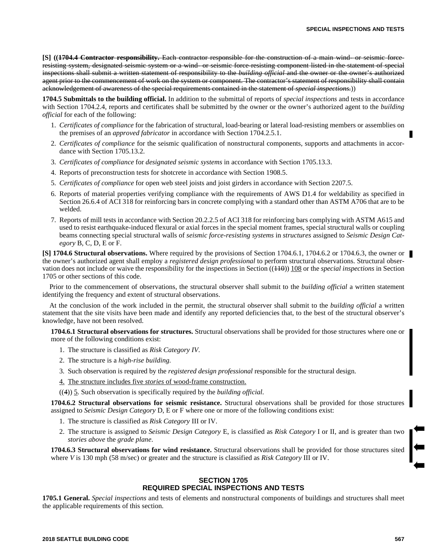**[S] ((1704.4 Contractor responsibility.** Each contractor responsible for the construction of a main wind- or seismic forceresisting system, designated seismic system or a wind- or seismic force-resisting component listed in the statement of special inspections shall submit a written statement of responsibility to the *building official* and the owner or the owner's authorized agent prior to the commencement of work on the system or component. The contractor's statement of responsibility shall contain acknowledgement of awareness of the special requirements contained in the statement of *special inspections*.))

**1704.5 Submittals to the building official.** In addition to the submittal of reports of *special inspections* and tests in accordance with Section 1704.2.4, reports and certificates shall be submitted by the owner or the owner's authorized agent to the *building official* for each of the following:

- 1. *Certificates of compliance* for the fabrication of structural, load-bearing or lateral load-resisting members or assemblies on the premises of an *approved fabricator* in accordance with Section 1704.2.5.1.
- 2. *Certificates of compliance* for the seismic qualification of nonstructural components, supports and attachments in accordance with Section 1705.13.2.
- 3. *Certificates of compliance* for *designated seismic systems* in accordance with Section 1705.13.3.
- 4. Reports of preconstruction tests for shotcrete in accordance with Section 1908.5.
- 5. *Certificates of compliance* for open web steel joists and joist girders in accordance with Section 2207.5.
- 6. Reports of material properties verifying compliance with the requirements of AWS D1.4 for weldability as specified in Section 26.6.4 of ACI 318 for reinforcing bars in concrete complying with a standard other than ASTM A706 that are to be welded.
- 7. Reports of mill tests in accordance with Section 20.2.2.5 of ACI 318 for reinforcing bars complying with ASTM A615 and used to resist earthquake-induced flexural or axial forces in the special moment frames, special structural walls or coupling beams connecting special structural walls of *seismic force-resisting systems* in *structures* assigned to *Seismic Design Category* B, C, D, E or F.

**[S] 1704.6 Structural observations.** Where required by the provisions of Section 1704.6.1, 1704.6.2 or 1704.6.3, the owner or the owner's authorized agent shall employ a *registered design professional* to perform structural observations. Structural observation does not include or waive the responsibility for the inspections in Section ((110)) 108 or the *special inspections* in Section 1705 or other sections of this code.

Prior to the commencement of observations, the structural observer shall submit to the *building official* a written statement identifying the frequency and extent of structural observations.

At the conclusion of the work included in the permit, the structural observer shall submit to the *building official* a written statement that the site visits have been made and identify any reported deficiencies that, to the best of the structural observer's knowledge, have not been resolved.

**1704.6.1 Structural observations for structures.** Structural observations shall be provided for those structures where one or more of the following conditions exist:

- 1. The structure is classified as *Risk Category IV*.
- 2. The structure is a *high-rise building.*
- 3. Such observation is required by the *registered design professional* responsible for the structural design.
- 4. The structure includes five *stories* of wood-frame construction.

((4)) 5. Such observation is specifically required by the *building official.*

**1704.6.2 Structural observations for seismic resistance.** Structural observations shall be provided for those structures assigned to *Seismic Design Category* D, E or F where one or more of the following conditions exist:

- 1. The structure is classified as *Risk Category* III or IV.
- 2. The structure is assigned to *Seismic Design Category* E, is classified as *Risk Category* I or II, and is greater than two *stories above* the *grade plane*.

**1704.6.3 Structural observations for wind resistance.** Structural observations shall be provided for those structures sited where *V* is 130 mph (58 m/sec) or greater and the structure is classified as *Risk Category* III or IV.

# **SECTION 1705 REQUIRED SPECIAL INSPECTIONS AND TESTS**

**1705.1 General.** *Special inspections* and tests of elements and nonstructural components of buildings and structures shall meet the applicable requirements of this section.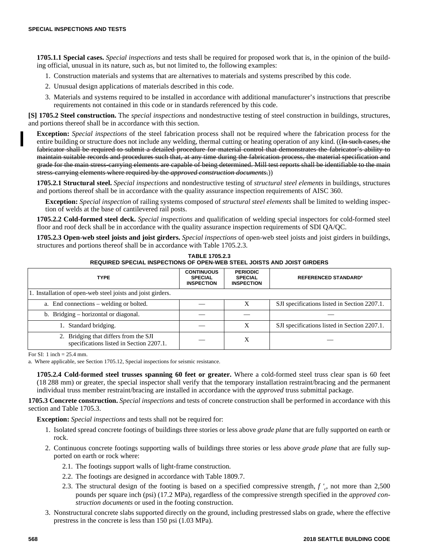**1705.1.1 Special cases.** *Special inspections* and tests shall be required for proposed work that is, in the opinion of the building official, unusual in its nature, such as, but not limited to, the following examples:

- 1. Construction materials and systems that are alternatives to materials and systems prescribed by this code.
- 2. Unusual design applications of materials described in this code.
- 3. Materials and systems required to be installed in accordance with additional manufacturer's instructions that prescribe requirements not contained in this code or in standards referenced by this code.

**[S] 1705.2 Steel construction.** The *special inspections* and nondestructive testing of steel construction in buildings, structures, and portions thereof shall be in accordance with this section.

**Exception:** *Special inspections* of the steel fabrication process shall not be required where the fabrication process for the entire building or structure does not include any welding, thermal cutting or heating operation of any kind. ((In such cases, the fabricator shall be required to submit a detailed procedure for material control that demonstrates the fabricator's ability to maintain suitable records and procedures such that, at any time during the fabrication process, the material specification and grade for the main stress-carrying elements are capable of being determined. Mill test reports shall be identifiable to the main stress-carrying elements where required by the *approved construction documents*.))

**1705.2.1 Structural steel.** *Special inspections* and nondestructive testing of *structural steel elements* in buildings, structures and portions thereof shall be in accordance with the quality assurance inspection requirements of AISC 360.

**Exception:** *Special inspection* of railing systems composed of *structural steel elements* shall be limited to welding inspection of welds at the base of cantilevered rail posts.

**1705.2.2 Cold-formed steel deck.** *Special inspections* and qualification of welding special inspectors for cold-formed steel floor and roof deck shall be in accordance with the quality assurance inspection requirements of SDI QA/QC.

**1705.2.3 Open-web steel joists and joist girders.** *Special inspections* of open-web steel joists and joist girders in buildings, structures and portions thereof shall be in accordance with Table 1705.2.3.

| <b>TYPE</b>                                                                       | <b>CONTINUOUS</b><br><b>SPECIAL</b><br><b>INSPECTION</b> | <b>PERIODIC</b><br><b>SPECIAL</b><br><b>INSPECTION</b> | <b>REFERENCED STANDARD<sup>a</sup></b>       |  |
|-----------------------------------------------------------------------------------|----------------------------------------------------------|--------------------------------------------------------|----------------------------------------------|--|
| 1. Installation of open-web steel joists and joist girders.                       |                                                          |                                                        |                                              |  |
| a. End connections – welding or bolted.                                           |                                                          |                                                        | SJI specifications listed in Section 2207.1. |  |
| b. Bridging – horizontal or diagonal.                                             |                                                          |                                                        |                                              |  |
| Standard bridging.<br>1.                                                          |                                                          | X                                                      | SJI specifications listed in Section 2207.1. |  |
| 2. Bridging that differs from the SJI<br>specifications listed in Section 2207.1. |                                                          | X                                                      |                                              |  |

**TABLE 1705.2.3 REQUIRED SPECIAL INSPECTIONS OF OPEN-WEB STEEL JOISTS AND JOIST GIRDERS** 

For SI: 1 inch = 25.4 mm.

a. Where applicable, see Section 1705.12, Special inspections for seismic resistance.

**1705.2.4 Cold-formed steel trusses spanning 60 feet or greater.** Where a cold-formed steel truss clear span is 60 feet (18 288 mm) or greater, the special inspector shall verify that the temporary installation restraint/bracing and the permanent individual truss member restraint/bracing are installed in accordance with the *approved* truss submittal package.

**1705.3 Concrete construction.** *Special inspections* and tests of concrete construction shall be performed in accordance with this section and Table 1705.3.

**Exception:** *Special inspections* and tests shall not be required for:

- 1. Isolated spread concrete footings of buildings three stories or less above *grade plane* that are fully supported on earth or rock.
- 2. Continuous concrete footings supporting walls of buildings three stories or less above *grade plane* that are fully supported on earth or rock where:
	- 2.1. The footings support walls of light-frame construction.
	- 2.2. The footings are designed in accordance with Table 1809.7.
	- 2.3. The structural design of the footing is based on a specified compressive strength, *f '<sup>c</sup>* , not more than 2,500 pounds per square inch (psi) (17.2 MPa), regardless of the compressive strength specified in the *approved construction documents* or used in the footing construction.
- 3. Nonstructural concrete slabs supported directly on the ground, including prestressed slabs on grade, where the effective prestress in the concrete is less than 150 psi (1.03 MPa).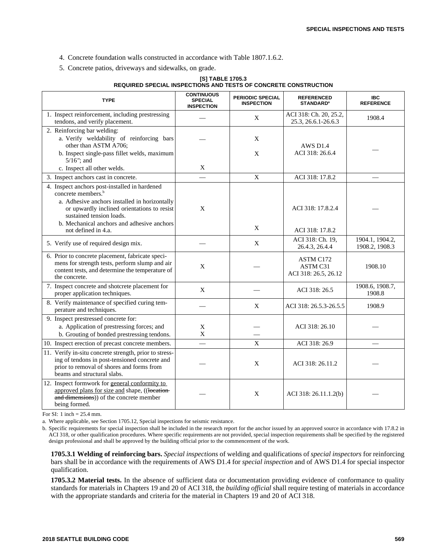- 4. Concrete foundation walls constructed in accordance with Table 1807.1.6.2.
- 5. Concrete patios, driveways and sidewalks, on grade.

#### **[S] TABLE 1705.3 REQUIRED SPECIAL INSPECTIONS AND TESTS OF CONCRETE CONSTRUCTION**

| <b>TYPE</b>                                                                                                                                                                                                                                                                      | <b>CONTINUOUS</b><br><b>SPECIAL</b><br><b>INSPECTION</b> | <b>PERIODIC SPECIAL</b><br><b>INSPECTION</b> | <b>REFERENCED</b><br><b>STANDARD<sup>a</sup></b> | <b>IBC</b><br><b>REFERENCE</b> |
|----------------------------------------------------------------------------------------------------------------------------------------------------------------------------------------------------------------------------------------------------------------------------------|----------------------------------------------------------|----------------------------------------------|--------------------------------------------------|--------------------------------|
| 1. Inspect reinforcement, including prestressing<br>tendons, and verify placement.                                                                                                                                                                                               |                                                          | X                                            | ACI 318: Ch. 20, 25.2,<br>25.3, 26.6.1-26.6.3    | 1908.4                         |
| 2. Reinforcing bar welding:<br>a. Verify weldability of reinforcing bars<br>other than ASTM A706;<br>b. Inspect single-pass fillet welds, maximum<br>$5/16$ "; and                                                                                                               |                                                          | X<br>$\mathbf{X}$                            | AWS D <sub>1.4</sub><br>ACI 318: 26.6.4          |                                |
| c. Inspect all other welds.                                                                                                                                                                                                                                                      | X                                                        |                                              |                                                  |                                |
| 3. Inspect anchors cast in concrete.                                                                                                                                                                                                                                             |                                                          | $\mathbf X$                                  | ACI 318: 17.8.2                                  |                                |
| 4. Inspect anchors post-installed in hardened<br>concrete members. <sup>b</sup><br>a. Adhesive anchors installed in horizontally<br>or upwardly inclined orientations to resist<br>sustained tension loads.<br>b. Mechanical anchors and adhesive anchors<br>not defined in 4.a. | X                                                        | X                                            | ACI 318: 17.8.2.4<br>ACI 318: 17.8.2             |                                |
|                                                                                                                                                                                                                                                                                  |                                                          |                                              | ACI 318: Ch. 19,                                 | 1904.1, 1904.2,                |
| 5. Verify use of required design mix.                                                                                                                                                                                                                                            |                                                          | X                                            | 26.4.3, 26.4.4                                   | 1908.2, 1908.3                 |
| 6. Prior to concrete placement, fabricate speci-<br>mens for strength tests, perform slump and air<br>content tests, and determine the temperature of<br>the concrete.                                                                                                           | $\mathbf{X}$                                             |                                              | ASTM C172<br>ASTM C31<br>ACI 318: 26.5, 26.12    | 1908.10                        |
| 7. Inspect concrete and shotcrete placement for<br>proper application techniques.                                                                                                                                                                                                | $\mathbf X$                                              |                                              | ACI 318: 26.5                                    | 1908.6, 1908.7,<br>1908.8      |
| 8. Verify maintenance of specified curing tem-<br>perature and techniques.                                                                                                                                                                                                       |                                                          | X                                            | ACI 318: 26.5.3-26.5.5                           | 1908.9                         |
| 9. Inspect prestressed concrete for:<br>a. Application of prestressing forces; and<br>b. Grouting of bonded prestressing tendons.                                                                                                                                                | X<br>$\mathbf{X}$                                        |                                              | ACI 318: 26.10                                   |                                |
| 10. Inspect erection of precast concrete members.                                                                                                                                                                                                                                |                                                          | X                                            | ACI 318: 26.9                                    |                                |
| 11. Verify in-situ concrete strength, prior to stress-<br>ing of tendons in post-tensioned concrete and<br>prior to removal of shores and forms from<br>beams and structural slabs.                                                                                              |                                                          | $\mathbf X$                                  | ACI 318: 26.11.2                                 |                                |
| 12. Inspect formwork for general conformity to<br>approved plans for size and shape, ((location-<br>and dimensions)) of the concrete member<br>being formed.                                                                                                                     |                                                          | X                                            | ACI 318: 26.11.1.2(b)                            |                                |

For SI: 1 inch = 25.4 mm.

a. Where applicable, see Section 1705.12, Special inspections for seismic resistance.

b. Specific requirements for special inspection shall be included in the research report for the anchor issued by an approved source in accordance with 17.8.2 in ACI 318, or other qualification procedures. Where specific requirements are not provided, special inspection requirements shall be specified by the registered design professional and shall be approved by the building official prior to the commencement of the work.

**1705.3.1 Welding of reinforcing bars.** *Special inspections* of welding and qualifications of *special inspectors* for reinforcing bars shall be in accordance with the requirements of AWS D1.4 for *special inspection* and of AWS D1.4 for special inspector qualification.

**1705.3.2 Material tests.** In the absence of sufficient data or documentation providing evidence of conformance to quality standards for materials in Chapters 19 and 20 of ACI 318, the *building official* shall require testing of materials in accordance with the appropriate standards and criteria for the material in Chapters 19 and 20 of ACI 318.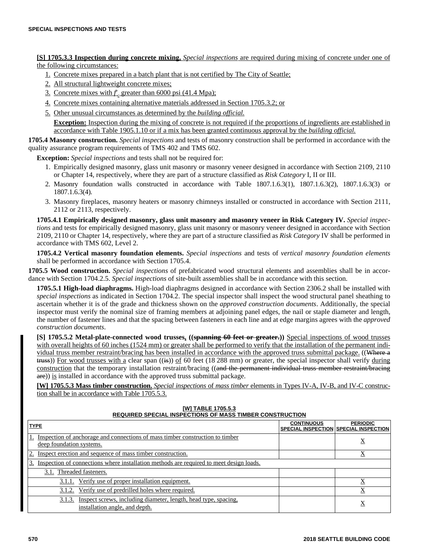**[S] 1705.3.3 Inspection during concrete mixing.** *Special inspections* are required during mixing of concrete under one of the following circumstances:

- 1. Concrete mixes prepared in a batch plant that is not certified by The City of Seattle;
- 2. All structural lightweight concrete mixes;
- 3. Concrete mixes with  $f_c$  greater than 6000 psi (41.4 Mpa);
- 4. Concrete mixes containing alternative materials addressed in Section 1705.3.2; or
- 5. Other unusual circumstances as determined by the *building official.*

**Exception:** Inspection during the mixing of concrete is not required if the proportions of ingredients are established in accordance with Table 1905.1.10 or if a mix has been granted continuous approval by the *building official.*

**1705.4 Masonry construction.** *Special inspections* and tests of masonry construction shall be performed in accordance with the quality assurance program requirements of TMS 402 and TMS 602.

**Exception:** *Special inspections* and tests shall not be required for:

- 1. Empirically designed masonry, glass unit masonry or masonry veneer designed in accordance with Section 2109, 2110 or Chapter 14, respectively, where they are part of a structure classified as *Risk Category* I, II or III.
- 2. Masonry foundation walls constructed in accordance with Table 1807.1.6.3(1), 1807.1.6.3(2), 1807.1.6.3(3) or 1807.1.6.3(4).
- 3. Masonry fireplaces, masonry heaters or masonry chimneys installed or constructed in accordance with Section 2111, 2112 or 2113, respectively.

**1705.4.1 Empirically designed masonry, glass unit masonry and masonry veneer in Risk Category IV.** *Special inspections* and tests for empirically designed masonry, glass unit masonry or masonry veneer designed in accordance with Section 2109, 2110 or Chapter 14, respectively, where they are part of a structure classified as *Risk Category* IV shall be performed in accordance with TMS 602, Level 2.

**1705.4.2 Vertical masonry foundation elements.** *Special inspections* and tests of *vertical masonry foundation elements* shall be performed in accordance with Section 1705.4.

**1705.5 Wood construction.** *Special inspections* of prefabricated wood structural elements and assemblies shall be in accordance with Section 1704.2.5. *Special inspections* of site-built assemblies shall be in accordance with this section.

**1705.5.1 High-load diaphragms.** High-load diaphragms designed in accordance with Section 2306.2 shall be installed with *special inspections* as indicated in Section 1704.2. The special inspector shall inspect the wood structural panel sheathing to ascertain whether it is of the grade and thickness shown on the *approved construction documents*. Additionally, the special inspector must verify the nominal size of framing members at adjoining panel edges, the nail or staple diameter and length, the number of fastener lines and that the spacing between fasteners in each line and at edge margins agrees with the *approved construction documents*.

**[S] 1705.5.2 Metal-plate-connected wood trusses. ((spanning 60 feet or greater.))** Special inspections of wood trusses with overall heights of 60 inches (1524 mm) or greater shall be performed to verify that the installation of the permanent individual truss member restraint/bracing has been installed in accordance with the approved truss submittal package. ((Where a  $t$  truss)) For wood trusses with a clear span  $((\pm s))$  of 60 feet (18 288 mm) or greater, the special inspector shall verify during construction that the temporary installation restraint/bracing ((and the permanent individual truss member restraint/bracing are)) is installed in accordance with the approved truss submittal package.

**[W] 1705.5.3 Mass timber construction.** *Special inspections* of *mass timber* elements in Types IV-A, IV-B, and IV-C construction shall be in accordance with Table 1705.5.3.

# **[W] TABLE 1705.5.3 REQUIRED SPECIAL INSPECTIONS OF MASS TIMBER CONSTRUCTION**

| <b>TYPE</b>                                                                                                 | <b>CONTINUOUS</b> | <b>PERIODIC</b><br>SPECIAL INSPECTION SPECIAL INSPECTION |
|-------------------------------------------------------------------------------------------------------------|-------------------|----------------------------------------------------------|
| Inspection of anchorage and connections of mass timber construction to timber<br>deep foundation systems.   |                   | $\Delta$                                                 |
| Inspect erection and sequence of mass timber construction.<br>2.                                            |                   | $\Lambda$                                                |
| Inspection of connections where installation methods are required to meet design loads.<br>3.               |                   |                                                          |
| 3.1. Threaded fasteners.                                                                                    |                   |                                                          |
| 3.1.1. Verify use of proper installation equipment.                                                         |                   |                                                          |
| 3.1.2. Verify use of predrilled holes where required.                                                       |                   |                                                          |
| Inspect screws, including diameter, length, head type, spacing.<br>3.1.3.<br>installation angle, and depth. |                   | Х                                                        |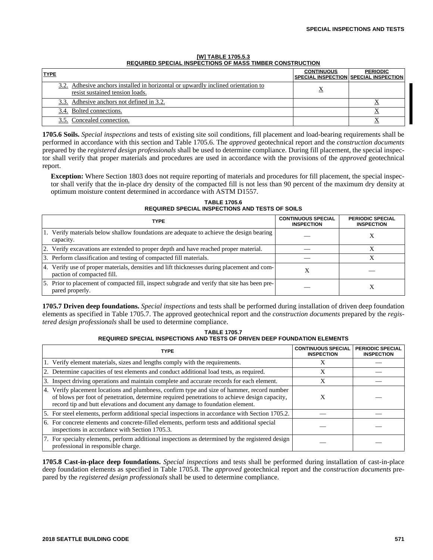| <b>TYPE</b>                                                                                                          | <b>CONTINUOUS</b> | <b>PERIODIC</b><br>SPECIAL INSPECTION SPECIAL INSPECTION |
|----------------------------------------------------------------------------------------------------------------------|-------------------|----------------------------------------------------------|
| 3.2. Adhesive anchors installed in horizontal or upwardly inclined orientation to<br>resist sustained tension loads. |                   |                                                          |
| 3.3. Adhesive anchors not defined in 3.2.                                                                            |                   |                                                          |
| 3.4. Bolted connections.                                                                                             |                   |                                                          |
| Concealed connection.                                                                                                |                   |                                                          |

#### **[W] TABLE 1705.5.3 REQUIRED SPECIAL INSPECTIONS OF MASS TIMBER CONSTRUCTION**

**1705.6 Soils.** *Special inspections* and tests of existing site soil conditions, fill placement and load-bearing requirements shall be performed in accordance with this section and Table 1705.6. The *approved* geotechnical report and the *construction documents* prepared by the *registered design professionals* shall be used to determine compliance. During fill placement, the special inspector shall verify that proper materials and procedures are used in accordance with the provisions of the *approved* geotechnical report.

**Exception:** Where Section 1803 does not require reporting of materials and procedures for fill placement, the special inspector shall verify that the in-place dry density of the compacted fill is not less than 90 percent of the maximum dry density at optimum moisture content determined in accordance with ASTM D1557.

**TABLE 1705.6 REQUIRED SPECIAL INSPECTIONS AND TESTS OF SOILS** 

| <b>TYPE</b>                                                                                                               | <b>CONTINUOUS SPECIAL</b><br><b>INSPECTION</b> | <b>PERIODIC SPECIAL</b><br><b>INSPECTION</b> |
|---------------------------------------------------------------------------------------------------------------------------|------------------------------------------------|----------------------------------------------|
| 1. Verify materials below shallow foundations are adequate to achieve the design bearing<br>capacity.                     |                                                |                                              |
| 2. Verify excavations are extended to proper depth and have reached proper material.                                      |                                                |                                              |
| 3. Perform classification and testing of compacted fill materials.                                                        |                                                |                                              |
| 4. Verify use of proper materials, densities and lift thicknesses during placement and com-<br>paction of compacted fill. | X                                              |                                              |
| 5. Prior to placement of compacted fill, inspect subgrade and verify that site has been pre-<br>pared properly.           |                                                |                                              |

**1705.7 Driven deep foundations.** *Special inspections* and tests shall be performed during installation of driven deep foundation elements as specified in Table 1705.7. The approved geotechnical report and the *construction documents* prepared by the *registered design professionals* shall be used to determine compliance.

#### **TABLE 1705.7 REQUIRED SPECIAL INSPECTIONS AND TESTS OF DRIVEN DEEP FOUNDATION ELEMENTS**

| <b>TYPE</b>                                                                                                                                                                                                                                                                   | <b>CONTINUOUS SPECIAL</b><br><b>INSPECTION</b> | <b>PERIODIC SPECIAL</b><br><b>INSPECTION</b> |
|-------------------------------------------------------------------------------------------------------------------------------------------------------------------------------------------------------------------------------------------------------------------------------|------------------------------------------------|----------------------------------------------|
| 1. Verify element materials, sizes and lengths comply with the requirements.                                                                                                                                                                                                  | X                                              |                                              |
| 2. Determine capacities of test elements and conduct additional load tests, as required.                                                                                                                                                                                      | X                                              |                                              |
| 3. Inspect driving operations and maintain complete and accurate records for each element.                                                                                                                                                                                    | X                                              |                                              |
| 4. Verify placement locations and plumbness, confirm type and size of hammer, record number<br>of blows per foot of penetration, determine required penetrations to achieve design capacity,<br>record tip and butt elevations and document any damage to foundation element. |                                                |                                              |
| 5. For steel elements, perform additional special inspections in accordance with Section 1705.2.                                                                                                                                                                              |                                                |                                              |
| 6. For concrete elements and concrete-filled elements, perform tests and additional special<br>inspections in accordance with Section 1705.3.                                                                                                                                 |                                                |                                              |
| 7. For specialty elements, perform additional inspections as determined by the registered design<br>professional in responsible charge.                                                                                                                                       |                                                |                                              |

**1705.8 Cast-in-place deep foundations.** *Special inspections* and tests shall be performed during installation of cast-in-place deep foundation elements as specified in Table 1705.8. The *approved* geotechnical report and the *construction documents* prepared by the *registered design professionals* shall be used to determine compliance.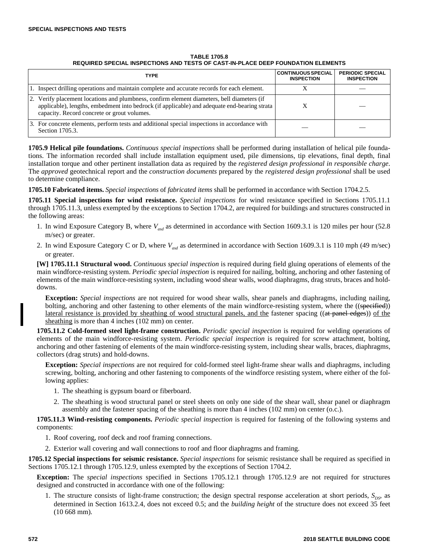| <b>TABLE 1705.8</b><br>REQUIRED SPECIAL INSPECTIONS AND TESTS OF CAST-IN-PLACE DEEP FOUNDATION ELEMENTS |                                         |                                 |
|---------------------------------------------------------------------------------------------------------|-----------------------------------------|---------------------------------|
| <b>TYPE</b>                                                                                             | CONTINUOUS SPECIAL<br><b>INSPECTION</b> | <b>PERIODIC</b><br><b>INSPE</b> |

| <b>TYPE</b>                                                                                                                                                                                                                               | <b>CONTINUOUS SPECIAL</b><br><b>INSPECTION</b> | <b>PERIODIC SPECIAL</b><br><b>INSPECTION</b> |
|-------------------------------------------------------------------------------------------------------------------------------------------------------------------------------------------------------------------------------------------|------------------------------------------------|----------------------------------------------|
| 1. Inspect drilling operations and maintain complete and accurate records for each element.                                                                                                                                               |                                                |                                              |
| 2. Verify placement locations and plumbness, confirm element diameters, bell diameters (if<br>applicable), lengths, embedment into bedrock (if applicable) and adequate end-bearing strata<br>capacity. Record concrete or grout volumes. |                                                |                                              |
| 3. For concrete elements, perform tests and additional special inspections in accordance with<br>Section 1705.3.                                                                                                                          |                                                |                                              |

**1705.9 Helical pile foundations.** *Continuous special inspections* shall be performed during installation of helical pile foundations. The information recorded shall include installation equipment used, pile dimensions, tip elevations, final depth, final installation torque and other pertinent installation data as required by the *registered design professional in responsible charge*. The *approved* geotechnical report and the *construction documents* prepared by the *registered design professional* shall be used to determine compliance.

**1705.10 Fabricated items.** *Special inspections* of *fabricated items* shall be performed in accordance with Section 1704.2.5.

**1705.11 Special inspections for wind resistance.** *Special inspections* for wind resistance specified in Sections 1705.11.1 through 1705.11.3, unless exempted by the exceptions to Section 1704.2, are required for buildings and structures constructed in the following areas:

- 1. In wind Exposure Category B, where *Vasd* as determined in accordance with Section 1609.3.1 is 120 miles per hour (52.8 m/sec) or greater.
- 2. In wind Exposure Category C or D, where  $V_{\text{red}}$  as determined in accordance with Section 1609.3.1 is 110 mph (49 m/sec) or greater.

**[W] 1705.11.1 Structural wood.** *Continuous special inspection* is required during field gluing operations of elements of the main windforce-resisting system. *Periodic special inspection* is required for nailing, bolting, anchoring and other fastening of elements of the main windforce-resisting system, including wood shear walls, wood diaphragms, drag struts, braces and holddowns.

**Exception:** *Special inspections* are not required for wood shear walls, shear panels and diaphragms, including nailing, bolting, anchoring and other fastening to other elements of the main windforce-resisting system, where the ((specified)) lateral resistance is provided by sheathing of wood structural panels, and the fastener spacing ((at panel edges)) of the sheathing is more than 4 inches (102 mm) on center.

**1705.11.2 Cold-formed steel light-frame construction.** *Periodic special inspection* is required for welding operations of elements of the main windforce-resisting system. *Periodic special inspection* is required for screw attachment, bolting, anchoring and other fastening of elements of the main windforce-resisting system, including shear walls, braces, diaphragms, collectors (drag struts) and hold-downs.

**Exception:** *Special inspections* are not required for cold-formed steel light-frame shear walls and diaphragms, including screwing, bolting, anchoring and other fastening to components of the windforce resisting system, where either of the following applies:

- 1. The sheathing is gypsum board or fiberboard.
- 2. The sheathing is wood structural panel or steel sheets on only one side of the shear wall, shear panel or diaphragm assembly and the fastener spacing of the sheathing is more than 4 inches (102 mm) on center (o.c.).

**1705.11.3 Wind-resisting components.** *Periodic special inspection* is required for fastening of the following systems and components:

- 1. Roof covering, roof deck and roof framing connections.
- 2. Exterior wall covering and wall connections to roof and floor diaphragms and framing.

**1705.12 Special inspections for seismic resistance.** *Special inspections* for seismic resistance shall be required as specified in Sections 1705.12.1 through 1705.12.9, unless exempted by the exceptions of Section 1704.2.

**Exception:** The *special inspections* specified in Sections 1705.12.1 through 1705.12.9 are not required for structures designed and constructed in accordance with one of the following:

1. The structure consists of light-frame construction; the design spectral response acceleration at short periods,  $S_{DS}$ , as determined in Section 1613.2.4, does not exceed 0.5; and the *building height* of the structure does not exceed 35 feet (10 668 mm).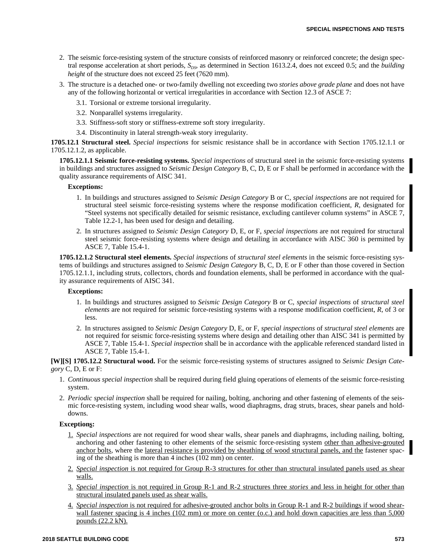- 2. The seismic force-resisting system of the structure consists of reinforced masonry or reinforced concrete; the design spectral response acceleration at short periods,  $S_{DS}$ , as determined in Section 1613.2.4, does not exceed 0.5; and the *building height* of the structure does not exceed 25 feet (7620 mm).
- 3. The structure is a detached one- or two-family dwelling not exceeding two *stories above grade plane* and does not have any of the following horizontal or vertical irregularities in accordance with Section 12.3 of ASCE 7:
	- 3.1. Torsional or extreme torsional irregularity.
	- 3.2. Nonparallel systems irregularity.
	- 3.3. Stiffness-soft story or stiffness-extreme soft story irregularity.
	- 3.4. Discontinuity in lateral strength-weak story irregularity.

**1705.12.1 Structural steel.** *Special inspections* for seismic resistance shall be in accordance with Section 1705.12.1.1 or 1705.12.1.2, as applicable.

**1705.12.1.1 Seismic force-resisting systems.** *Special inspections* of structural steel in the seismic force-resisting systems in buildings and structures assigned to *Seismic Design Category* B, C, D, E or F shall be performed in accordance with the quality assurance requirements of AISC 341.

## **Exceptions:**

- 1. In buildings and structures assigned to *Seismic Design Category* B or C, *special inspections* are not required for structural steel seismic force-resisting systems where the response modification coefficient, *R*, designated for "Steel systems not specifically detailed for seismic resistance, excluding cantilever column systems" in ASCE 7, Table 12.2-1, has been used for design and detailing.
- 2. In structures assigned to *Seismic Design Category* D, E, or F, *special inspections* are not required for structural steel seismic force-resisting systems where design and detailing in accordance with AISC 360 is permitted by ASCE 7, Table 15.4-1.

**1705.12.1.2 Structural steel elements.** *Special inspections* of *structural steel elements* in the seismic force-resisting systems of buildings and structures assigned to *Seismic Design Category* B, C, D, E or F other than those covered in Section 1705.12.1.1, including struts, collectors, chords and foundation elements, shall be performed in accordance with the quality assurance requirements of AISC 341.

## **Exceptions:**

- 1. In buildings and structures assigned to *Seismic Design Category* B or C, *special inspections* of *structural steel elements* are not required for seismic force-resisting systems with a response modification coefficient, *R*, of 3 or less.
- 2. In structures assigned to *Seismic Design Category* D, E, or F, *special inspections* of *structural steel elements* are not required for seismic force-resisting systems where design and detailing other than AISC 341 is permitted by ASCE 7, Table 15.4-1. *Special inspection* shall be in accordance with the applicable referenced standard listed in ASCE 7, Table 15.4-1.

**[W][S] 1705.12.2 Structural wood.** For the seismic force-resisting systems of structures assigned to *Seismic Design Category* C, D, E or F:

- 1. *Continuous special inspection* shall be required during field gluing operations of elements of the seismic force-resisting system.
- 2. *Periodic special inspection* shall be required for nailing, bolting, anchoring and other fastening of elements of the seismic force-resisting system, including wood shear walls, wood diaphragms, drag struts, braces, shear panels and holddowns.

## **Exceptions:**

- 1. *Special inspections* are not required for wood shear walls, shear panels and diaphragms, including nailing, bolting, anchoring and other fastening to other elements of the seismic force-resisting system other than adhesive-grouted anchor bolts, where the <u>lateral resistance is provided by sheathing of wood structural panels, and the</u> fastener spacing of the sheathing is more than 4 inches (102 mm) on center.
- 2. *Special inspection* is not required for Group R-3 structures for other than structural insulated panels used as shear walls.
- 3. *Special inspection* is not required in Group R-1 and R-2 structures three *stories* and less in height for other than structural insulated panels used as shear walls.
- 4. *Special inspection* is not required for adhesive-grouted anchor bolts in Group R-1 and R-2 buildings if wood shearwall fastener spacing is 4 inches (102 mm) or more on center (o.c.) and hold down capacities are less than 5,000 pounds (22.2 kN).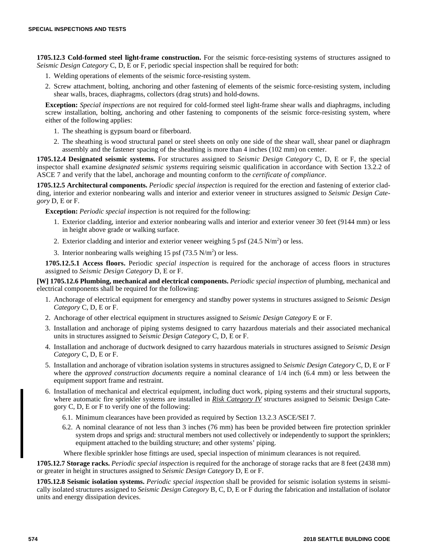**1705.12.3 Cold-formed steel light-frame construction.** For the seismic force-resisting systems of structures assigned to *Seismic Design Category* C, D, E or F, periodic special inspection shall be required for both:

- 1. Welding operations of elements of the seismic force-resisting system.
- 2. Screw attachment, bolting, anchoring and other fastening of elements of the seismic force-resisting system, including shear walls, braces, diaphragms, collectors (drag struts) and hold-downs.

**Exception:** *Special inspections* are not required for cold-formed steel light-frame shear walls and diaphragms, including screw installation, bolting, anchoring and other fastening to components of the seismic force-resisting system, where either of the following applies:

- 1. The sheathing is gypsum board or fiberboard.
- 2. The sheathing is wood structural panel or steel sheets on only one side of the shear wall, shear panel or diaphragm assembly and the fastener spacing of the sheathing is more than 4 inches (102 mm) on center.

**1705.12.4 Designated seismic systems.** For structures assigned to *Seismic Design Category* C, D, E or F, the special inspector shall examine *designated seismic systems* requiring seismic qualification in accordance with Section 13.2.2 of ASCE 7 and verify that the label, anchorage and mounting conform to the *certificate of compliance*.

**1705.12.5 Architectural components.** *Periodic special inspection* is required for the erection and fastening of exterior cladding, interior and exterior nonbearing walls and interior and exterior veneer in structures assigned to *Seismic Design Category* D, E or F.

**Exception:** *Periodic special inspection* is not required for the following:

- 1. Exterior cladding, interior and exterior nonbearing walls and interior and exterior veneer 30 feet (9144 mm) or less in height above grade or walking surface.
- 2. Exterior cladding and interior and exterior veneer weighing 5 psf  $(24.5 N/m<sup>2</sup>)$  or less.
- 3. Interior nonbearing walls weighing 15 psf  $(73.5 \text{ N/m}^2)$  or less.

**1705.12.5.1 Access floors.** Periodic *special inspection* is required for the anchorage of access floors in structures assigned to *Seismic Design Category* D, E or F.

**[W] 1705.12.6 Plumbing, mechanical and electrical components.** *Periodic special inspection* of plumbing, mechanical and electrical components shall be required for the following:

- 1. Anchorage of electrical equipment for emergency and standby power systems in structures assigned to *Seismic Design Category* C, D, E or F.
- 2. Anchorage of other electrical equipment in structures assigned to *Seismic Design Category* E or F.
- 3. Installation and anchorage of piping systems designed to carry hazardous materials and their associated mechanical units in structures assigned to *Seismic Design Category* C, D, E or F.
- 4. Installation and anchorage of ductwork designed to carry hazardous materials in structures assigned to *Seismic Design Category* C, D, E or F.
- 5. Installation and anchorage of vibration isolation systems in structures assigned to *Seismic Design Category* C, D, E or F where the *approved construction documents* require a nominal clearance of  $1/4$  inch (6.4 mm) or less between the equipment support frame and restraint.
- 6. Installation of mechanical and electrical equipment, including duct work, piping systems and their structural supports, where automatic fire sprinkler systems are installed in *Risk Category IV* structures assigned to Seismic Design Category C, D, E or F to verify one of the following:
	- 6.1. Minimum clearances have been provided as required by Section 13.2.3 ASCE/SEI 7.
	- 6.2. A nominal clearance of not less than 3 inches (76 mm) has been be provided between fire protection sprinkler system drops and sprigs and: structural members not used collectively or independently to support the sprinklers; equipment attached to the building structure; and other systems' piping.

Where flexible sprinkler hose fittings are used, special inspection of minimum clearances is not required.

**1705.12.7 Storage racks.** *Periodic special inspection* is required for the anchorage of storage racks that are 8 feet (2438 mm) or greater in height in structures assigned to *Seismic Design Category* D, E or F.

**1705.12.8 Seismic isolation systems.** *Periodic special inspection* shall be provided for seismic isolation systems in seismically isolated structures assigned to *Seismic Design Category* B, C, D, E or F during the fabrication and installation of isolator units and energy dissipation devices.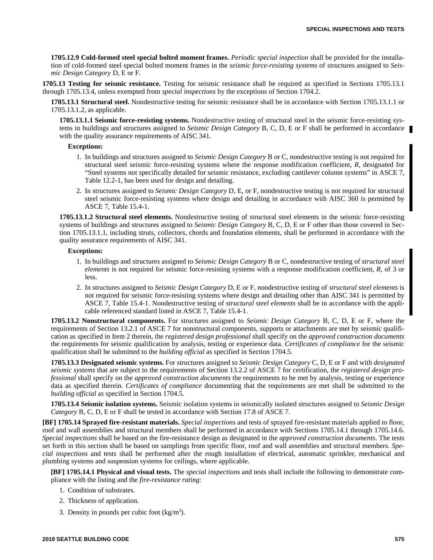**1705.12.9 Cold-formed steel special bolted moment frames.** *Periodic special inspection* shall be provided for the installation of cold-formed steel special bolted moment frames in the *seismic force-resisting systems* of structures assigned to *Seismic Design Category* D, E or F.

**1705.13 Testing for seismic resistance.** Testing for seismic resistance shall be required as specified in Sections 1705.13.1 through 1705.13.4, unless exempted from *special inspections* by the exceptions of Section 1704.2.

**1705.13.1 Structural steel.** Nondestructive testing for seismic resistance shall be in accordance with Section 1705.13.1.1 or 1705.13.1.2, as applicable.

**1705.13.1.1 Seismic force-resisting systems.** Nondestructive testing of structural steel in the seismic force-resisting systems in buildings and structures assigned to *Seismic Design Category* B, C, D, E or F shall be performed in accordance with the quality assurance requirements of AISC 341.

#### **Exceptions:**

- 1. In buildings and structures assigned to *Seismic Design Category* B or C, nondestructive testing is not required for structural steel seismic force-resisting systems where the response modification coefficient, *R*, designated for "Steel systems not specifically detailed for seismic resistance, excluding cantilever column systems" in ASCE 7, Table 12.2-1, has been used for design and detailing.
- 2. In structures assigned to *Seismic Design Category* D, E, or F, nondestructive testing is not required for structural steel seismic force-resisting systems where design and detailing in accordance with AISC 360 is permitted by ASCE 7, Table 15.4-1.

**1705.13.1.2 Structural steel elements.** Nondestructive testing of structural steel elements in the seismic force-resisting systems of buildings and structures assigned to *Seismic Design Category* B, C, D, E or F other than those covered in Section 1705.13.1.1, including struts, collectors, chords and foundation elements, shall be performed in accordance with the quality assurance requirements of AISC 341.

#### **Exceptions:**

- 1. In buildings and structures assigned to *Seismic Design Category* B or C, nondestructive testing of *structural steel elements* is not required for seismic force-resisting systems with a response modification coefficient, *R*, of 3 or less.
- 2. In structures assigned to *Seismic Design Category* D, E or F, nondestructive testing of *structural steel elements* is not required for seismic force-resisting systems where design and detailing other than AISC 341 is permitted by ASCE 7, Table 15.4-1. Nondestructive testing of *structural steel elements* shall be in accordance with the applicable referenced standard listed in ASCE 7, Table 15.4-1.

**1705.13.2 Nonstructural components.** For structures assigned to *Seismic Design Category* B, C, D, E or F, where the requirements of Section 13.2.1 of ASCE 7 for nonstructural components, supports or attachments are met by seismic qualification as specified in Item 2 therein, the *registered design professional* shall specify on the *approved construction documents* the requirements for seismic qualification by analysis, testing or experience data. *Certificates of compliance* for the seismic qualification shall be submitted to the *building official* as specified in Section 1704.5.

**1705.13.3 Designated seismic systems.** For structures assigned to *Seismic Design Category* C, D, E or F and with *designated seismic systems* that are subject to the requirements of Section 13.2.2 of ASCE 7 for certification, the *registered design professional* shall specify on the *approved construction documents* the requirements to be met by analysis, testing or experience data as specified therein. *Certificates of compliance* documenting that the requirements are met shall be submitted to the *building official* as specified in Section 1704.5.

**1705.13.4 Seismic isolation systems.** Seismic isolation systems in seismically isolated structures assigned to *Seismic Design Category* B, C, D, E or F shall be tested in accordance with Section 17.8 of ASCE 7.

**[BF] 1705.14 Sprayed fire-resistant materials.** *Special inspections* and tests of sprayed fire-resistant materials applied to floor, roof and wall assemblies and structural members shall be performed in accordance with Sections 1705.14.1 through 1705.14.6. *Special inspections* shall be based on the fire-resistance design as designated in the *approved construction documents*. The tests set forth in this section shall be based on samplings from specific floor, roof and wall assemblies and structural members. *Special inspections* and tests shall be performed after the rough installation of electrical, automatic sprinkler, mechanical and plumbing systems and suspension systems for ceilings, where applicable.

**[BF] 1705.14.1 Physical and visual tests.** The *special inspections* and tests shall include the following to demonstrate compliance with the listing and the *fire-resistance rating*:

- 1. Condition of substrates.
- 2. Thickness of application.
- 3. Density in pounds per cubic foot  $(kg/m<sup>3</sup>)$ .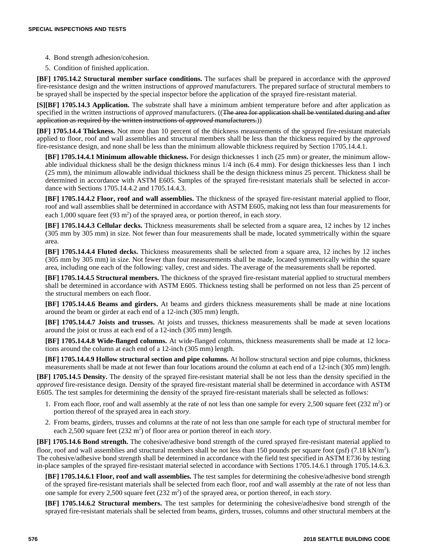- 4. Bond strength adhesion/cohesion.
- 5. Condition of finished application.

**[BF] 1705.14.2 Structural member surface conditions.** The surfaces shall be prepared in accordance with the *approved* fire-resistance design and the written instructions of *approved* manufacturers. The prepared surface of structural members to be sprayed shall be inspected by the special inspector before the application of the sprayed fire-resistant material.

**[S][BF] 1705.14.3 Application.** The substrate shall have a minimum ambient temperature before and after application as specified in the written instructions of *approved* manufacturers. ((The area for application shall be ventilated during and after application as required by the written instructions of *approved* manufacturers.))

**[BF] 1705.14.4 Thickness.** Not more than 10 percent of the thickness measurements of the sprayed fire-resistant materials applied to floor, roof and wall assemblies and structural members shall be less than the thickness required by the *approved* fire-resistance design, and none shall be less than the minimum allowable thickness required by Section 1705.14.4.1.

**[BF] 1705.14.4.1 Minimum allowable thickness.** For design thicknesses 1 inch (25 mm) or greater, the minimum allowable individual thickness shall be the design thickness minus 1/4 inch (6.4 mm). For design thicknesses less than 1 inch (25 mm), the minimum allowable individual thickness shall be the design thickness minus 25 percent. Thickness shall be determined in accordance with ASTM E605. Samples of the sprayed fire-resistant materials shall be selected in accordance with Sections 1705.14.4.2 and 1705.14.4.3.

**[BF] 1705.14.4.2 Floor, roof and wall assemblies.** The thickness of the sprayed fire-resistant material applied to floor, roof and wall assemblies shall be determined in accordance with ASTM E605, making not less than four measurements for each 1,000 square feet (93 m<sup>2</sup>) of the sprayed area, or portion thereof, in each *story*.

**[BF] 1705.14.4.3 Cellular decks.** Thickness measurements shall be selected from a square area, 12 inches by 12 inches (305 mm by 305 mm) in size. Not fewer than four measurements shall be made, located symmetrically within the square area.

**[BF] 1705.14.4.4 Fluted decks.** Thickness measurements shall be selected from a square area, 12 inches by 12 inches (305 mm by 305 mm) in size. Not fewer than four measurements shall be made, located symmetrically within the square area, including one each of the following: valley, crest and sides. The average of the measurements shall be reported.

**[BF] 1705.14.4.5 Structural members.** The thickness of the sprayed fire-resistant material applied to structural members shall be determined in accordance with ASTM E605. Thickness testing shall be performed on not less than 25 percent of the structural members on each floor.

**[BF] 1705.14.4.6 Beams and girders.** At beams and girders thickness measurements shall be made at nine locations around the beam or girder at each end of a 12-inch (305 mm) length.

**[BF] 1705.14.4.7 Joists and trusses.** At joists and trusses, thickness measurements shall be made at seven locations around the joist or truss at each end of a 12-inch (305 mm) length.

**[BF] 1705.14.4.8 Wide-flanged columns.** At wide-flanged columns, thickness measurements shall be made at 12 locations around the column at each end of a 12-inch (305 mm) length.

**[BF] 1705.14.4.9 Hollow structural section and pipe columns.** At hollow structural section and pipe columns, thickness measurements shall be made at not fewer than four locations around the column at each end of a 12-inch (305 mm) length.

**[BF] 1705.14.5 Density.** The density of the sprayed fire-resistant material shall be not less than the density specified in the *approved* fire-resistance design. Density of the sprayed fire-resistant material shall be determined in accordance with ASTM E605. The test samples for determining the density of the sprayed fire-resistant materials shall be selected as follows:

- 1. From each floor, roof and wall assembly at the rate of not less than one sample for every 2,500 square feet  $(232 \text{ m}^2)$  or portion thereof of the sprayed area in each *story*.
- 2. From beams, girders, trusses and columns at the rate of not less than one sample for each type of structural member for each 2,500 square feet (232 m<sup>2</sup>) of floor area or portion thereof in each *story*.

**[BF] 1705.14.6 Bond strength.** The cohesive/adhesive bond strength of the cured sprayed fire-resistant material applied to floor, roof and wall assemblies and structural members shall be not less than 150 pounds per square foot (psf) (7.18 kN/m<sup>2</sup>). The cohesive/adhesive bond strength shall be determined in accordance with the field test specified in ASTM E736 by testing in-place samples of the sprayed fire-resistant material selected in accordance with Sections 1705.14.6.1 through 1705.14.6.3.

**[BF] 1705.14.6.1 Floor, roof and wall assemblies.** The test samples for determining the cohesive/adhesive bond strength of the sprayed fire-resistant materials shall be selected from each floor, roof and wall assembly at the rate of not less than one sample for every 2,500 square feet  $(232 \text{ m}^2)$  of the sprayed area, or portion thereof, in each *story*.

**[BF] 1705.14.6.2 Structural members.** The test samples for determining the cohesive/adhesive bond strength of the sprayed fire-resistant materials shall be selected from beams, girders, trusses, columns and other structural members at the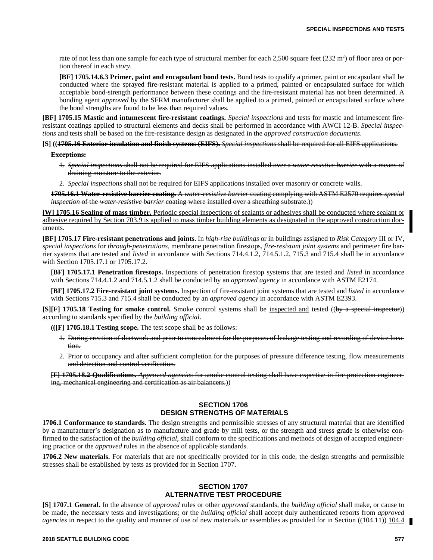rate of not less than one sample for each type of structural member for each 2,500 square feet (232 m<sup>2</sup>) of floor area or portion thereof in each *story*.

**[BF] 1705.14.6.3 Primer, paint and encapsulant bond tests.** Bond tests to qualify a primer, paint or encapsulant shall be conducted where the sprayed fire-resistant material is applied to a primed, painted or encapsulated surface for which acceptable bond-strength performance between these coatings and the fire-resistant material has not been determined. A bonding agent *approved* by the SFRM manufacturer shall be applied to a primed, painted or encapsulated surface where the bond strengths are found to be less than required values.

**[BF] 1705.15 Mastic and intumescent fire-resistant coatings.** *Special inspections* and tests for mastic and intumescent fireresistant coatings applied to structural elements and decks shall be performed in accordance with AWCI 12-B. *Special inspections* and tests shall be based on the fire-resistance design as designated in the *approved construction documents*.

#### **[S] ((1705.16 Exterior insulation and finish systems (EIFS).** *Special inspections* shall be required for all EIFS applications.

#### **Exceptions:**

- 1. *Special inspections* shall not be required for EIFS applications installed over a *water-resistive barrier* with a means of draining moisture to the exterior.
- 2. *Special inspections* shall not be required for EIFS applications installed over masonry or concrete walls.

**1705.16.1 Water-resistive barrier coating.** A *water-resistive barrier* coating complying with ASTM E2570 requires *special inspection* of the *water-resistive barrier* coating where installed over a sheathing substrate.))

**[W] 1705.16 Sealing of mass timber.** Periodic special inspections of sealants or adhesives shall be conducted where sealant or adhesive required by Section 703.9 is applied to mass timber building elements as designated in the approved construction documents.

**[BF] 1705.17 Fire-resistant penetrations and joints.** In *high-rise buildings* or in buildings assigned to *Risk Category* III or IV, *special inspections* for *through-penetrations*, membrane penetration firestops, *fire-resistant joint systems* and perimeter fire barrier systems that are tested and *listed* in accordance with Sections 714.4.1.2, 714.5.1.2, 715.3 and 715.4 shall be in accordance with Section 1705.17.1 or 1705.17.2.

**[BF] 1705.17.1 Penetration firestops.** Inspections of penetration firestop systems that are tested and *listed* in accordance with Sections 714.4.1.2 and 714.5.1.2 shall be conducted by an *approved agency* in accordance with ASTM E2174.

**[BF] 1705.17.2 Fire-resistant joint systems.** Inspection of fire-resistant joint systems that are tested and *listed* in accordance with Sections 715.3 and 715.4 shall be conducted by an *approved agency* in accordance with ASTM E2393.

**[S][F] 1705.18 Testing for smoke control.** Smoke control systems shall be <u>inspected and</u> tested ((by a special inspector)) according to standards specified by the *building official*.

**(([F] 1705.18.1 Testing scope.** The test scope shall be as follows:

- 1. During erection of ductwork and prior to concealment for the purposes of leakage testing and recording of device location.
- 2. Prior to occupancy and after sufficient completion for the purposes of pressure difference testing, flow measurements and detection and control verification.

**[F] 1705.18.2 Qualifications.** *Approved agencies* for smoke control testing shall have expertise in fire protection engineering, mechanical engineering and certification as air balancers.))

## **SECTION 1706 DESIGN STRENGTHS OF MATERIALS**

**1706.1 Conformance to standards.** The design strengths and permissible stresses of any structural material that are identified by a manufacturer's designation as to manufacture and grade by mill tests, or the strength and stress grade is otherwise confirmed to the satisfaction of the *building official*, shall conform to the specifications and methods of design of accepted engineering practice or the *approved* rules in the absence of applicable standards.

**1706.2 New materials.** For materials that are not specifically provided for in this code, the design strengths and permissible stresses shall be established by tests as provided for in Section 1707.

#### **SECTION 1707 ALTERNATIVE TEST PROCEDURE**

**[S] 1707.1 General.** In the absence of *approved* rules or other *approved* standards, the *building official* shall make, or cause to be made, the necessary tests and investigations; or the *building official* shall accept duly authenticated reports from *approved agencies* in respect to the quality and manner of use of new materials or assemblies as provided for in Section ((404.11)) 104.4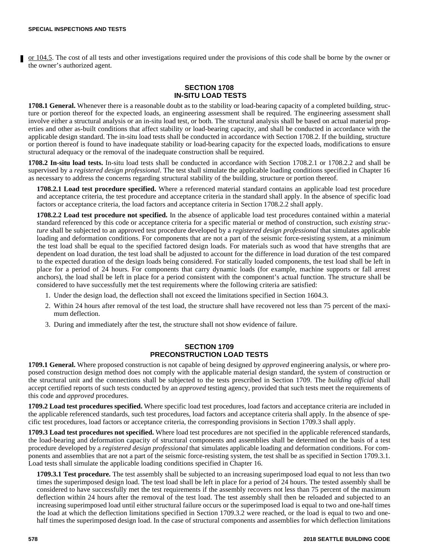or 104.5. The cost of all tests and other investigations required under the provisions of this code shall be borne by the owner or the owner's authorized agent.

# **SECTION 1708 IN-SITU LOAD TESTS**

**1708.1 General.** Whenever there is a reasonable doubt as to the stability or load-bearing capacity of a completed building, structure or portion thereof for the expected loads, an engineering assessment shall be required. The engineering assessment shall involve either a structural analysis or an in-situ load test, or both. The structural analysis shall be based on actual material properties and other as-built conditions that affect stability or load-bearing capacity, and shall be conducted in accordance with the applicable design standard. The in-situ load tests shall be conducted in accordance with Section 1708.2. If the building, structure or portion thereof is found to have inadequate stability or load-bearing capacity for the expected loads, modifications to ensure structural adequacy or the removal of the inadequate construction shall be required.

**1708.2 In-situ load tests.** In-situ load tests shall be conducted in accordance with Section 1708.2.1 or 1708.2.2 and shall be supervised by a *registered design professional*. The test shall simulate the applicable loading conditions specified in Chapter 16 as necessary to address the concerns regarding structural stability of the building, structure or portion thereof.

**1708.2.1 Load test procedure specified.** Where a referenced material standard contains an applicable load test procedure and acceptance criteria, the test procedure and acceptance criteria in the standard shall apply. In the absence of specific load factors or acceptance criteria, the load factors and acceptance criteria in Section 1708.2.2 shall apply.

**1708.2.2 Load test procedure not specified.** In the absence of applicable load test procedures contained within a material standard referenced by this code or acceptance criteria for a specific material or method of construction, such *existing structure* shall be subjected to an approved test procedure developed by a *registered design professional* that simulates applicable loading and deformation conditions. For components that are not a part of the seismic force-resisting system, at a minimum the test load shall be equal to the specified factored design loads. For materials such as wood that have strengths that are dependent on load duration, the test load shall be adjusted to account for the difference in load duration of the test compared to the expected duration of the design loads being considered. For statically loaded components, the test load shall be left in place for a period of 24 hours. For components that carry dynamic loads (for example, machine supports or fall arrest anchors), the load shall be left in place for a period consistent with the component's actual function. The structure shall be considered to have successfully met the test requirements where the following criteria are satisfied:

- 1. Under the design load, the deflection shall not exceed the limitations specified in Section 1604.3.
- 2. Within 24 hours after removal of the test load, the structure shall have recovered not less than 75 percent of the maximum deflection.
- 3. During and immediately after the test, the structure shall not show evidence of failure.

#### **SECTION 1709 PRECONSTRUCTION LOAD TESTS**

**1709.1 General.** Where proposed construction is not capable of being designed by *approved* engineering analysis, or where proposed construction design method does not comply with the applicable material design standard, the system of construction or the structural unit and the connections shall be subjected to the tests prescribed in Section 1709. The *building official* shall accept certified reports of such tests conducted by an *approved* testing agency, provided that such tests meet the requirements of this code and *approved* procedures.

**1709.2 Load test procedures specified.** Where specific load test procedures, load factors and acceptance criteria are included in the applicable referenced standards, such test procedures, load factors and acceptance criteria shall apply. In the absence of specific test procedures, load factors or acceptance criteria, the corresponding provisions in Section 1709.3 shall apply.

**1709.3 Load test procedures not specified.** Where load test procedures are not specified in the applicable referenced standards, the load-bearing and deformation capacity of structural components and assemblies shall be determined on the basis of a test procedure developed by a *registered design professional* that simulates applicable loading and deformation conditions. For components and assemblies that are not a part of the seismic force-resisting system, the test shall be as specified in Section 1709.3.1. Load tests shall simulate the applicable loading conditions specified in Chapter 16.

**1709.3.1 Test procedure.** The test assembly shall be subjected to an increasing superimposed load equal to not less than two times the superimposed design load. The test load shall be left in place for a period of 24 hours. The tested assembly shall be considered to have successfully met the test requirements if the assembly recovers not less than 75 percent of the maximum deflection within 24 hours after the removal of the test load. The test assembly shall then be reloaded and subjected to an increasing superimposed load until either structural failure occurs or the superimposed load is equal to two and one-half times the load at which the deflection limitations specified in Section 1709.3.2 were reached, or the load is equal to two and onehalf times the superimposed design load. In the case of structural components and assemblies for which deflection limitations